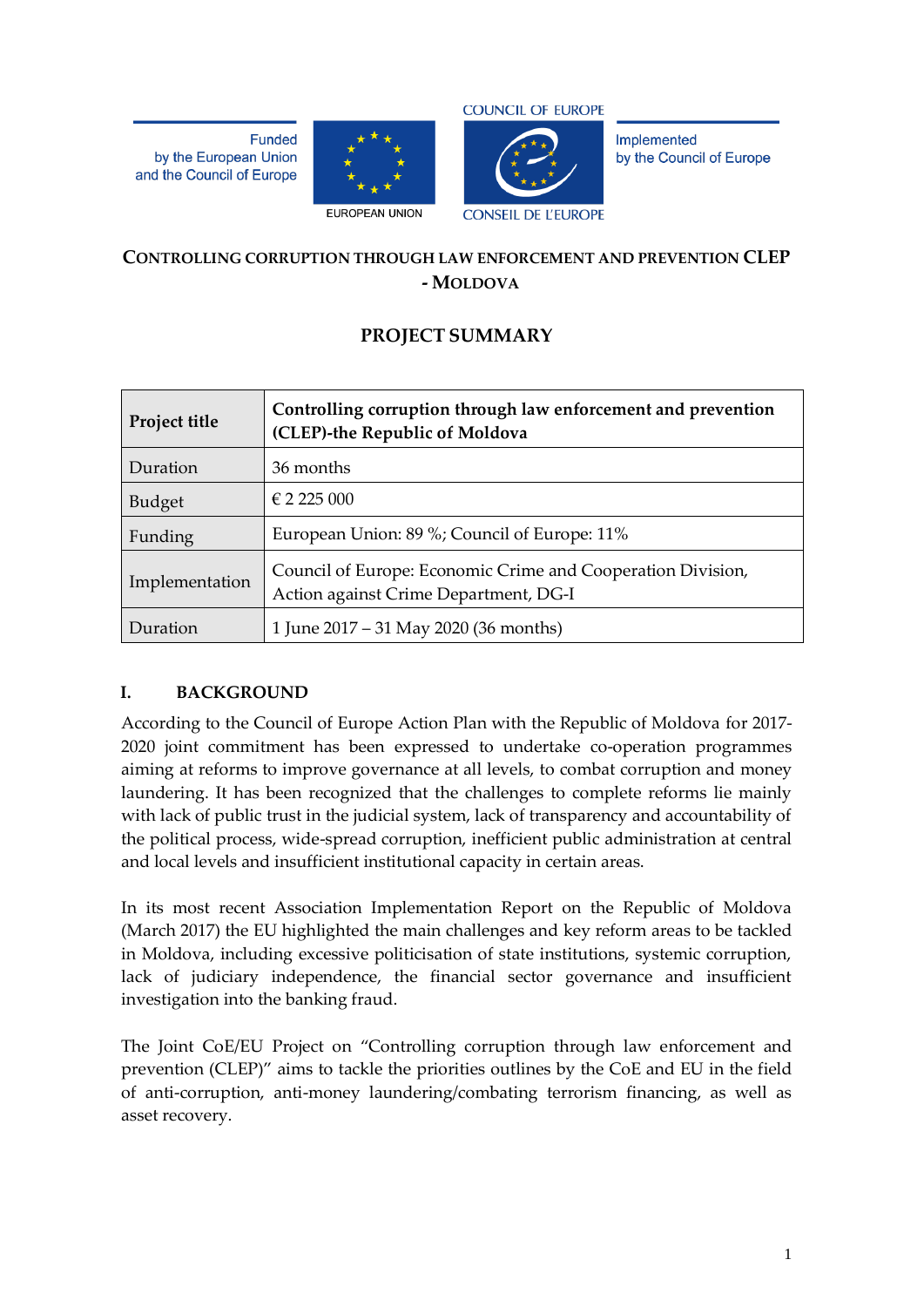**Funded** by the European Union and the Council of Europe





Implemented by the Council of Europe

### **CONTROLLING CORRUPTION THROUGH LAW ENFORCEMENT AND PREVENTION CLEP - MOLDOVA**

# **PROJECT SUMMARY**

| Project title  | Controlling corruption through law enforcement and prevention<br>(CLEP)-the Republic of Moldova      |  |
|----------------|------------------------------------------------------------------------------------------------------|--|
| Duration       | 36 months                                                                                            |  |
| <b>Budget</b>  | $\in$ 2 2 2 5 0 0 0 0 0 0 $\leq$                                                                     |  |
| Funding        | European Union: 89 %; Council of Europe: 11%                                                         |  |
| Implementation | Council of Europe: Economic Crime and Cooperation Division,<br>Action against Crime Department, DG-I |  |
| Duration       | 1 June 2017 – 31 May 2020 (36 months)                                                                |  |

### **I. BACKGROUND**

According to the Council of Europe Action Plan with the Republic of Moldova for 2017- 2020 joint commitment has been expressed to undertake co-operation programmes aiming at reforms to improve governance at all levels, to combat corruption and money laundering. It has been recognized that the challenges to complete reforms lie mainly with lack of public trust in the judicial system, lack of transparency and accountability of the political process, wide-spread corruption, inefficient public administration at central and local levels and insufficient institutional capacity in certain areas.

In its most recent Association Implementation Report on the Republic of Moldova (March 2017) the EU highlighted the main challenges and key reform areas to be tackled in Moldova, including excessive politicisation of state institutions, systemic corruption, lack of judiciary independence, the financial sector governance and insufficient investigation into the banking fraud.

The Joint CoE/EU Project on "Controlling corruption through law enforcement and prevention (CLEP)" aims to tackle the priorities outlines by the CoE and EU in the field of anti-corruption, anti-money laundering/combating terrorism financing, as well as asset recovery.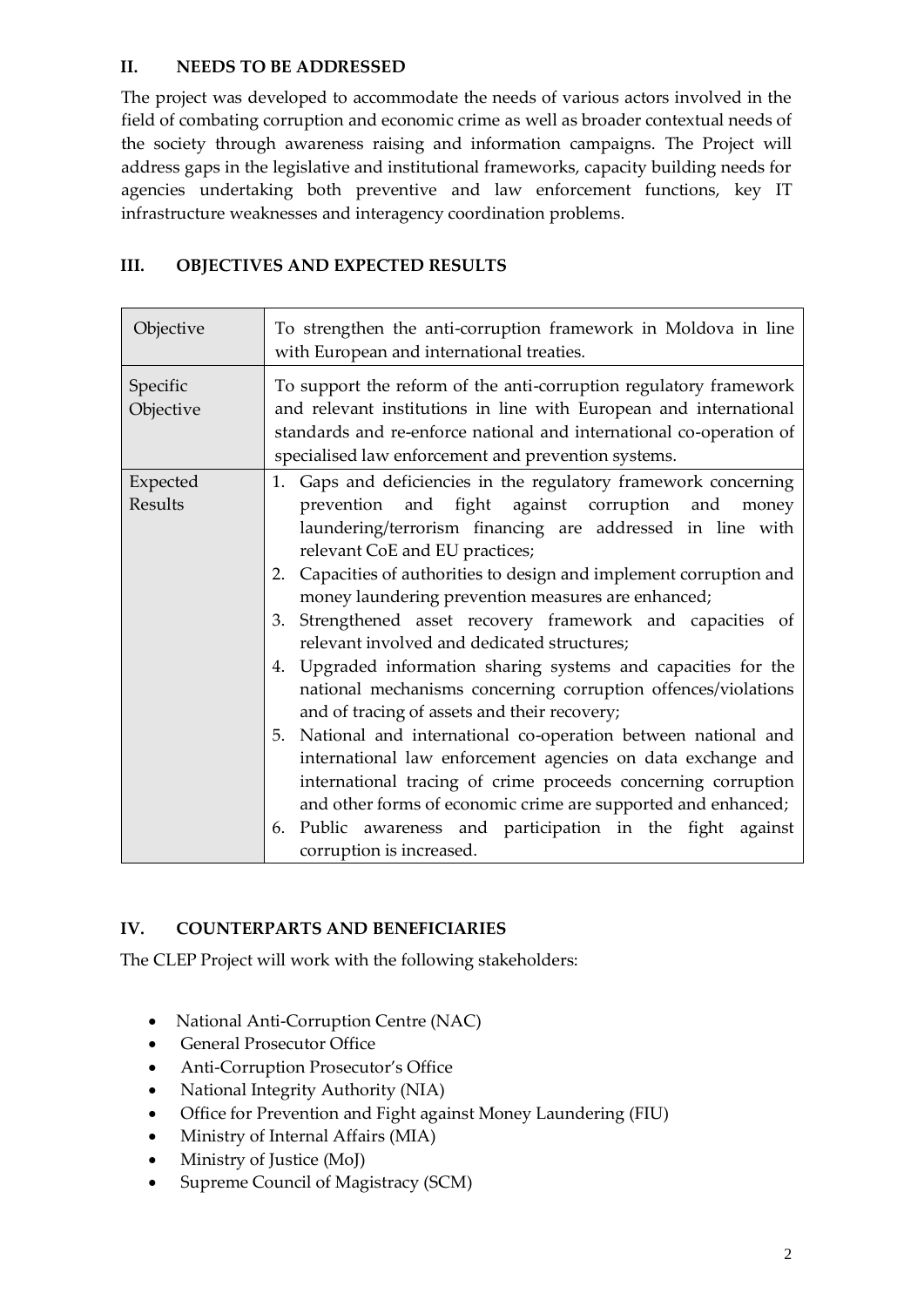### **II. NEEDS TO BE ADDRESSED**

The project was developed to accommodate the needs of various actors involved in the field of combating corruption and economic crime as well as broader contextual needs of the society through awareness raising and information campaigns. The Project will address gaps in the legislative and institutional frameworks, capacity building needs for agencies undertaking both preventive and law enforcement functions, key IT infrastructure weaknesses and interagency coordination problems.

### **III. OBJECTIVES AND EXPECTED RESULTS**

| Objective             | To strengthen the anti-corruption framework in Moldova in line<br>with European and international treaties.                                                                                                                                                                                                                                                                                                                                                                                                                                                                                                                                                                                                                                                                                                                                                                                                                                                                                                             |
|-----------------------|-------------------------------------------------------------------------------------------------------------------------------------------------------------------------------------------------------------------------------------------------------------------------------------------------------------------------------------------------------------------------------------------------------------------------------------------------------------------------------------------------------------------------------------------------------------------------------------------------------------------------------------------------------------------------------------------------------------------------------------------------------------------------------------------------------------------------------------------------------------------------------------------------------------------------------------------------------------------------------------------------------------------------|
| Specific<br>Objective | To support the reform of the anti-corruption regulatory framework<br>and relevant institutions in line with European and international<br>standards and re-enforce national and international co-operation of<br>specialised law enforcement and prevention systems.                                                                                                                                                                                                                                                                                                                                                                                                                                                                                                                                                                                                                                                                                                                                                    |
| Expected<br>Results   | Gaps and deficiencies in the regulatory framework concerning<br>1.<br>prevention and fight against corruption<br>and<br>money<br>laundering/terrorism financing are addressed in line with<br>relevant CoE and EU practices;<br>2. Capacities of authorities to design and implement corruption and<br>money laundering prevention measures are enhanced;<br>3. Strengthened asset recovery framework and capacities of<br>relevant involved and dedicated structures;<br>4. Upgraded information sharing systems and capacities for the<br>national mechanisms concerning corruption offences/violations<br>and of tracing of assets and their recovery;<br>5. National and international co-operation between national and<br>international law enforcement agencies on data exchange and<br>international tracing of crime proceeds concerning corruption<br>and other forms of economic crime are supported and enhanced;<br>6. Public awareness and participation in the fight against<br>corruption is increased. |

## **IV. COUNTERPARTS AND BENEFICIARIES**

The CLEP Project will work with the following stakeholders:

- National Anti-Corruption Centre (NAC)
- General Prosecutor Office
- Anti-Corruption Prosecutor's Office
- National Integrity Authority (NIA)
- Office for Prevention and Fight against Money Laundering (FIU)
- Ministry of Internal Affairs (MIA)
- Ministry of Justice (MoJ)
- Supreme Council of Magistracy (SCM)